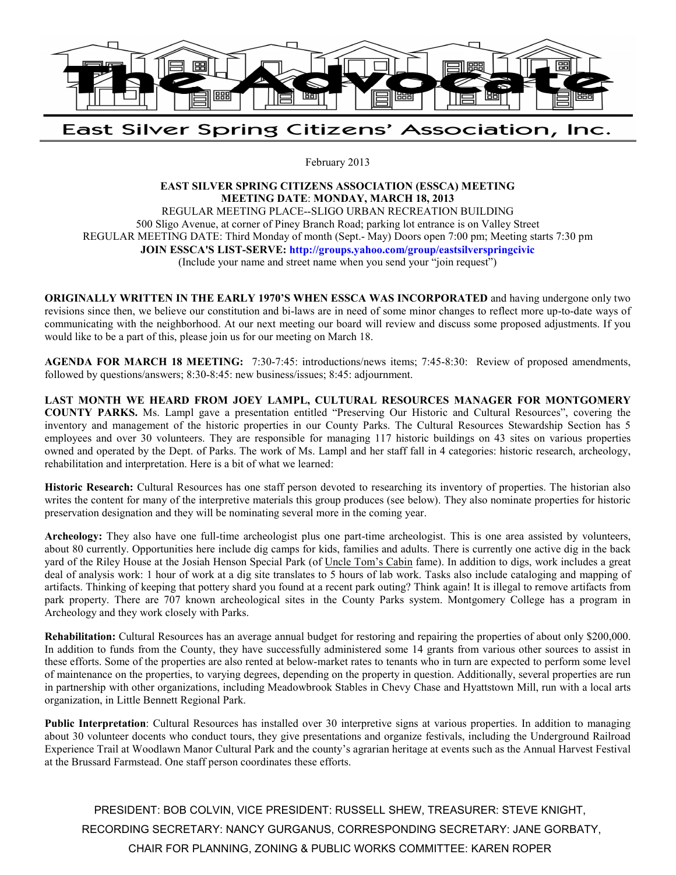

East Silver Spring Citizens' Association, Inc.

February 2013

## **EAST SILVER SPRING CITIZENS ASSOCIATION (ESSCA) MEETING MEETING DATE**: **MONDAY, MARCH 18, 2013**  REGULAR MEETING PLACE--SLIGO URBAN RECREATION BUILDING

500 Sligo Avenue, at corner of Piney Branch Road; parking lot entrance is on Valley Street REGULAR MEETING DATE: Third Monday of month (Sept.- May) Doors open 7:00 pm; Meeting starts 7:30 pm **JOIN ESSCA'S LIST-SERVE: http://groups.yahoo.com/group/eastsilverspringcivic** (Include your name and street name when you send your "join request")

**ORIGINALLY WRITTEN IN THE EARLY 1970'S WHEN ESSCA WAS INCORPORATED** and having undergone only two revisions since then, we believe our constitution and bi-laws are in need of some minor changes to reflect more up-to-date ways of communicating with the neighborhood. At our next meeting our board will review and discuss some proposed adjustments. If you would like to be a part of this, please join us for our meeting on March 18.

**AGENDA FOR MARCH 18 MEETING:** 7:30-7:45: introductions/news items; 7:45-8:30: Review of proposed amendments, followed by questions/answers; 8:30-8:45: new business/issues; 8:45: adjournment.

**LAST MONTH WE HEARD FROM JOEY LAMPL, CULTURAL RESOURCES MANAGER FOR MONTGOMERY COUNTY PARKS.** Ms. Lampl gave a presentation entitled "Preserving Our Historic and Cultural Resources", covering the inventory and management of the historic properties in our County Parks. The Cultural Resources Stewardship Section has 5 employees and over 30 volunteers. They are responsible for managing 117 historic buildings on 43 sites on various properties owned and operated by the Dept. of Parks. The work of Ms. Lampl and her staff fall in 4 categories: historic research, archeology, rehabilitation and interpretation. Here is a bit of what we learned:

**Historic Research:** Cultural Resources has one staff person devoted to researching its inventory of properties. The historian also writes the content for many of the interpretive materials this group produces (see below). They also nominate properties for historic preservation designation and they will be nominating several more in the coming year.

**Archeology:** They also have one full-time archeologist plus one part-time archeologist. This is one area assisted by volunteers, about 80 currently. Opportunities here include dig camps for kids, families and adults. There is currently one active dig in the back yard of the Riley House at the Josiah Henson Special Park (of Uncle Tom's Cabin fame). In addition to digs, work includes a great deal of analysis work: 1 hour of work at a dig site translates to 5 hours of lab work. Tasks also include cataloging and mapping of artifacts. Thinking of keeping that pottery shard you found at a recent park outing? Think again! It is illegal to remove artifacts from park property. There are 707 known archeological sites in the County Parks system. Montgomery College has a program in Archeology and they work closely with Parks.

**Rehabilitation:** Cultural Resources has an average annual budget for restoring and repairing the properties of about only \$200,000. In addition to funds from the County, they have successfully administered some 14 grants from various other sources to assist in these efforts. Some of the properties are also rented at below-market rates to tenants who in turn are expected to perform some level of maintenance on the properties, to varying degrees, depending on the property in question. Additionally, several properties are run in partnership with other organizations, including Meadowbrook Stables in Chevy Chase and Hyattstown Mill, run with a local arts organization, in Little Bennett Regional Park.

Public Interpretation: Cultural Resources has installed over 30 interpretive signs at various properties. In addition to managing about 30 volunteer docents who conduct tours, they give presentations and organize festivals, including the Underground Railroad Experience Trail at Woodlawn Manor Cultural Park and the county's agrarian heritage at events such as the Annual Harvest Festival at the Brussard Farmstead. One staff person coordinates these efforts.

PRESIDENT: BOB COLVIN, VICE PRESIDENT: RUSSELL SHEW, TREASURER: STEVE KNIGHT, RECORDING SECRETARY: NANCY GURGANUS, CORRESPONDING SECRETARY: JANE GORBATY, CHAIR FOR PLANNING, ZONING & PUBLIC WORKS COMMITTEE: KAREN ROPER